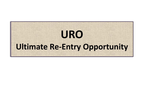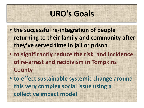## **URO's Goals**

**• the successful re-integration of people returning to their family and community after they've served time in jail or prison • to significantly reduce the risk and incidence of re-arrest and recidivism in Tompkins County • to effect sustainable systemic change around** 

**this very complex social issue using a** 

**collective impact model**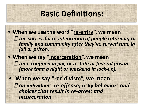### **Basic Definitions:**

- **• When we use the word "re-entry", we mean**  *the successful re-integration of people returning to family and community after they've served time in jail or prison.*
- **• When we say "incarceration", we mean**  *time confined in jail, or a state or federal prison (more than a night or weekend in lock-up).*
- **• When we say "recidivism", we mean** *an individual's re-offense; risky behaviors and choices that result in re-arrest and incarceration.*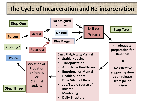### **The Cycle of Incarceration and Re-incarceration**

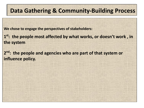### **Data Gathering & Community-Building Process**

**We chose to engage the perspectives of stakeholders:**

**1 st: the people most affected by what works, or doesn't work , in the system** 

**2 nd: the people and agencies who are part of that system or influence policy.**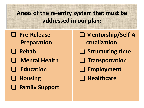**Areas of the re-entry system that must be addressed in our plan:** 

- ❑ **Pre-Release** 
	- **Preparation**
- ❑ **Rehab**
- ❑ **Mental Health**
- ❑ **Education**
- ❑ **Housing**
- ❑ **Family Support**
- ❑ **Mentorship/Self-A**
	- **ctualization**
- ❑ **Structuring time**
- ❑ **Transportation**
- ❑ **Employment**
- ❑ **Healthcare**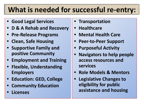## **What is needed for successful re-entry:**

- **• Good Legal Services**
- **• D & A Rehab and Recovery**
- **• Pre-Release Programs**
- **• Clean, Safe Housing**
- **• Supportive Family and positive Community**
- **• Employment and Training**
- **• Flexible, Understanding Employers**
- **• Education: GED, College**
- **• Community Education**
- **• Licenses**
- **• Transportation**
- **• Healthcare**
- **• Mental Health Care**
- **• Peer-to-Peer Support**
- **• Purposeful Activity**
- **• Navigators to help people access resources and services**
- **• Role Models & Mentors**
- **• Legislative Changes to eligibility for public assistance and housing**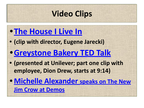## **Video Clips**

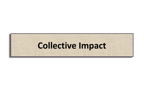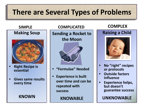## **There are Several Types of Problems**

#### **SIMPLE**

#### **Making Soup**



- **• Right Recipe is essential**
- **• Gives same results every time**

#### **KNOWN**

#### **COMPLICATED**

**Sending a Rocket to the Moon** 



- **• "Formulae" Needed**
- **• Experience is built over time and can be repeated with success**

**KNOWABLE**

#### **COMPLEX**

#### **Raising a Child**



- **• No "right" recipes or protocols**
- **• Outside factors influence**
- **• Experience helps, but doesn't guarantee success**

**UNKNOWABLE**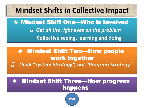## **Mindset Shifts in Collective Impact**

❖ Mindset Shift One—Who is Involved  *Get all the right eyes on the problem*  **Collective seeing, learning and doing**

### ❖ Mindset Shift Two—How people work together *Think "System Strategy", not "Program Strategy"*

### ❖ Mindset Shift Three—How progress happens

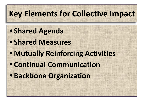# **Key Elements for Collective Impact**

# **• Shared Agenda • Shared Measures • Mutually Reinforcing Activities • Continual Communication • Backbone Organization**